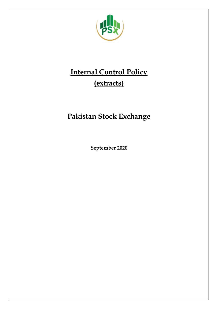

# **Internal Control Policy (extracts)**

# **Pakistan Stock Exchange**

**September 2020**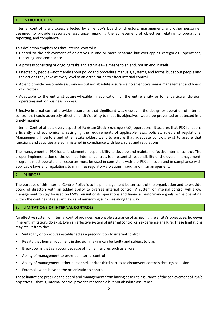# **1. INTRODUCTION**

Internal control is a process, effected by an entity's board of directors, management, and other personnel, designed to provide reasonable assurance regarding the achievement of objectives relating to operations, reporting, and compliance.

This definition emphasizes that internal control is:

- Geared to the achievement of objectives in one or more separate but overlapping categories—operations, reporting, and compliance.
- A process consisting of ongoing tasks and activities—a means to an end, not an end in itself.
- Effected by people—not merely about policy and procedure manuals, systems, and forms, but about people and the actions they take at every level of an organization to effect internal control.
- Able to provide reasonable assurance—but not absolute assurance, to an entity's senior management and board of directors.
- Adaptable to the entity structure—flexible in application for the entire entity or for a particular division, operating unit, or business process.

Effective internal control provides assurance that significant weaknesses in the design or operation of internal control that could adversely affect an entity's ability to meet its objectives, would be prevented or detected in a timely manner.

Internal Control affects every aspect of Pakistan Stock Exchange (PSX) operations. It assures that PSX functions efficiently and economically, satisfying the requirements of applicable laws, policies, rules and regulations. Management, Investors and other Stakeholders want to ensure that adequate controls exist to assure that functions and activities are administered in compliance with laws, rules and regulations.

The management of PSX has a fundamental responsibility to develop and maintain effective internal control. The proper implementation of the defined internal controls is an essential responsibility of the overall management. Programs must operate and resources must be used in consistent with the PSX's mission and in compliance with applicable laws and regulations to minimize regulatory violations, fraud, and mismanagement.

# **2. PURPOSE**

The purpose of this Internal Control Policy is to help management better control the organization and to provide board of directors with an added ability to oversee internal control. A system of internal control will allow management to stay focused on PSX's pursuit of its operations and financial performance goals, while operating within the confines of relevant laws and minimizing surprises along the way.

#### **3. LIMITATIONS OF INTERNAL CONTROLS**

An effective system of internal control provides reasonable assurance of achieving the entity's objectives, however inherent limitations do exist. Even an effective system of internal control can experience a failure. These limitations may result from the:

- Suitability of objectives established as a precondition to internal control
- Reality that human judgment in decision making can be faulty and subject to bias
- Breakdowns that can occur because of human failures such as errors
- Ability of management to override internal control
- Ability of management, other personnel, and/or third parties to circumvent controls through collusion
- External events beyond the organization's control

These limitations preclude the board and management from having absolute assurance of the achievement of PSX's objectives—that is, internal control provides reasonable but not absolute assurance.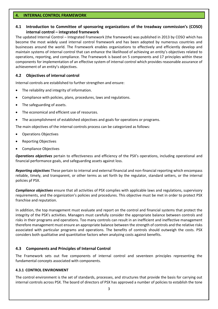### **4. INTERNAL CONTROL FRAMEWORK**

# **4.1 Introduction to Committee of sponsoring organizations of the treadway commission's (COSO) internal control – integrated framework**

The updated Internal Control – Integrated Framework (the framework) was published in 2013 by COSO which has become the most widely used internal control framework and has been adopted by numerous countries and businesses around the world. The Framework enables organizations to effectively and efficiently develop and maintain systems of internal control that can enhance the likelihood of achieving an entity's objectives related to operations, reporting, and compliance. The Framework is based on 5 components and 17 principles within these components for implementation of an effective system of internal control which provides reasonable assurance of achievement of an entity's objectives.

# **4.2 Objectives of internal control**

Internal controls are established to further strengthen and ensure:

- The reliability and integrity of information.
- Compliance with policies, plans, procedures, laws and regulations.
- The safeguarding of assets.
- The economical and efficient use of resources.
- The accomplishment of established objectives and goals for operations or programs.

The main objectives of the internal controls process can be categorized as follows:

- Operations Objectives
- Reporting Objectives
- Compliance Objectives

*Operations objectives* pertain to effectiveness and efficiency of the PSX's operations, including operational and financial performance goals, and safeguarding assets against loss.

*Reporting objectives* These pertain to internal and external financial and non-financial reporting which encompass reliable, timely, and transparent, or other terms as set forth by the regulator, standard setters, or the internal policies pf PSX.

*Compliance objectives* ensure that all activities of PSX complies with applicable laws and regulations, supervisory requirements, and the organization's policies and procedures. This objective must be met in order to protect PSX franchise and reputation.

In addition, the top management must evaluate and report on the control and financial systems that protect the integrity of the PSX's activities. Managers must carefully consider the appropriate balance between controls and risks in their programs and operations. Too many controls can result in an inefficient and ineffective management therefore management must ensure an appropriate balance between the strength of controls and the relative risks associated with particular programs and operations. The benefits of controls should outweigh the costs. PSX considers both qualitative and quantitative factors when analyzing costs against benefits.

# **4.3 Components and Principles of Internal Control**

The Framework sets out five components of internal control and seventeen principles representing the fundamental concepts associated with components.

# **4.3.1 CONTROL ENVIRONMENT**

The control environment is the set of standards, processes, and structures that provide the basis for carrying out internal controls across PSX. The board of directors of PSX has approved a number of policies to establish the tone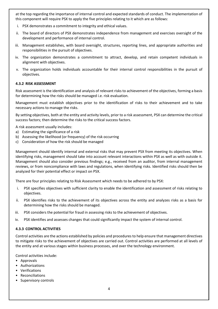at the top regarding the importance of internal control and expected standards of conduct. The implementation of this component will require PSX to apply the five principles relating to it which are as follows:

- i. PSX demonstrates a commitment to integrity and ethical values.
- ii. The board of directors of PSX demonstrates independence from management and exercises oversight of the development and performance of internal control.
- iii. Management establishes, with board oversight, structures, reporting lines, and appropriate authorities and responsibilities in the pursuit of objectives.
- iv. The organization demonstrates a commitment to attract, develop, and retain competent individuals in alignment with objectives.
- v. The organization holds individuals accountable for their internal control responsibilities in the pursuit of objectives.

#### **4.3.2 RISK ASSESSMENT**

Risk assessment is the identification and analysis of relevant risks to achievement of the objectives, forming a basis for determining how the risks should be managed i.e. risk evaluation.

Management must establish objectives prior to the identification of risks to their achievement and to take necessary actions to manage the risks.

By setting objectives, both at the entity and activity levels, prior to a risk assessment, PSX can determine the critical success factors; then determine the risks to the critical success factors.

A risk assessment usually includes:

- a) Estimating the significance of a risk
- b) Assessing the likelihood (or frequency) of the risk occurring
- c) Consideration of how the risk should be managed

Management should identify internal and external risks that may prevent PSX from meeting its objectives. When identifying risks, management should take into account relevant interactions within PSX as well as with outside it. Management should also consider previous findings; e.g., received from an auditor, from internal management reviews, or from noncompliance with laws and regulations, when identifying risks. Identified risks should then be analyzed for their potential effect or impact on PSX.

There are four principles relating to Risk Assessment which needs to be adhered to by PSX:

- i. PSX specifies objectives with sufficient clarity to enable the identification and assessment of risks relating to objectives.
- ii. PSX identifies risks to the achievement of its objectives across the entity and analyzes risks as a basis for determining how the risks should be managed.
- iii. PSX considers the potential for fraud in assessing risks to the achievement of objectives.
- iv. PSX identifies and assesses changes that could significantly impact the system of internal control.

#### **4.3.3 CONTROL ACTIVITIES**

Control activities are the actions established by policies and procedures to help ensure that management directives to mitigate risks to the achievement of objectives are carried out. Control activities are performed at all levels of the entity and at various stages within business processes, and over the technology environment.

Control activities include:

- Approvals
- Authorizations
- Verifications
- Reconciliations
- Supervisory controls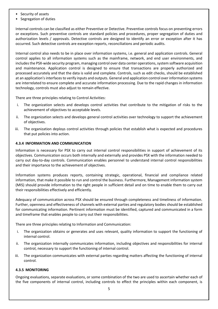- Security of assets
- Segregation of duties

Internal controls can be classified as either Preventive or Detective. Preventive controls focus on preventing errors or exceptions. Such preventive controls are standard policies and procedures, proper segregation of duties and authorization levels / approvals. Detective controls are designed to identify an error or exception after it has occurred. Such detective controls are exception reports, reconciliations and periodic audits.

Internal control also needs to be in place over information systems, i.e. general and application controls. General control applies to all information systems such as the mainframe, network, and end user environments, and includes the PSX-wide security program, managing control over data center operations, system software acquisition and maintenance. Application control is designed to ensure that transactions are properly authorized and processed accurately and that the data is valid and complete. Controls, such as edit checks, should be established at an application's interfaces to verify inputs and outputs. General and application control over information systems are interrelated to ensure complete and accurate information processing. Due to the rapid changes in information technology, controls must also adjust to remain effective.

There are three principles relating to Control Activities:

- i. The organization selects and develops control activities that contribute to the mitigation of risks to the achievement of objectives to acceptable levels.
- ii. The organization selects and develops general control activities over technology to support the achievement of objectives.
- iii. The organization deploys control activities through policies that establish what is expected and procedures that put policies into action.

# **4.3.4 INFORMATION AND COMMUNICATION**

Information is necessary for PSX to carry out internal control responsibilities in support of achievement of its objectives. Communication occurs both internally and externally and provides PSX with the information needed to carry out day-to-day controls. Communication enables personnel to understand internal control responsibilities and their importance to the achievement of objectives.

Information systems produces reports, containing strategic, operational, financial and compliance related information, that make it possible to run and control the business. Furthermore, Management information system (MIS) should provide information to the right people in sufficient detail and on time to enable them to carry out their responsibilities effectively and efficiently.

Adequacy of communication across PSX should be ensured through completeness and timeliness of information. Further, openness and effectiveness of channels with external parties and regulatory bodies should be established for communicating information. Pertinent information must be identified, captured and communicated in a form and timeframe that enables people to carry out their responsibilities.

There are three principles relating to Information and Communication:

- i. The organization obtains or generates and uses relevant, quality information to support the functioning of internal control.
- ii. The organization internally communicates information, including objectives and responsibilities for internal control, necessary to support the functioning of internal control.
- iii. The organization communicates with external parties regarding matters affecting the functioning of internal control.

#### **4.3.5 MONITORING**

Ongoing evaluations, separate evaluations, or some combination of the two are used to ascertain whether each of the five components of internal control, including controls to effect the principles within each component, is